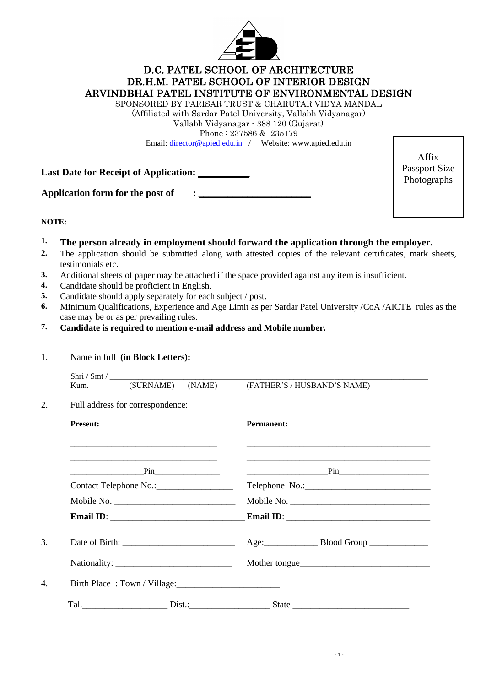

# D.C. PATEL SCHOOL OF ARCHITECTURE DR.H.M. PATEL SCHOOL OF INTERIOR DESIGN ARVINDBHAI PATEL INSTITUTE OF ENVIRONMENTAL DESIGN

SPONSORED BY PARISAR TRUST & CHARUTAR VIDYA MANDAL

(Affiliated with Sardar Patel University, Vallabh Vidyanagar) Vallabh Vidyanagar - 388 120 (Gujarat)

Phone : 237586 & 235179

Email: [director@apied.edu.in](mailto:director@apied.edu.in) / Website: www.apied.edu.in

Last Date for Receipt of Application: **Last Date for Receipt of Application:** 

Application form for the post of  $\qquad$  :

Affix Passport Size Photographs

### **NOTE:**

- **1. The person already in employment should forward the application through the employer.**
- **2.** The application should be submitted along with attested copies of the relevant certificates, mark sheets, testimonials etc.
- **3.** Additional sheets of paper may be attached if the space provided against any item is insufficient.
- **4.** Candidate should be proficient in English.
- **5.** Candidate should apply separately for each subject / post.
- **6.** Minimum Qualifications, Experience and Age Limit as per Sardar Patel University /CoA /AICTE rules as the case may be or as per prevailing rules.
- **7. Candidate is required to mention e-mail address and Mobile number.**

#### 1. Name in full **(in Block Letters):**

|                 | Kum. (SURNAME) (NAME)                                                                                           | (FATHER'S / HUSBAND'S NAME) |
|-----------------|-----------------------------------------------------------------------------------------------------------------|-----------------------------|
|                 | Full address for correspondence:                                                                                |                             |
| <b>Present:</b> |                                                                                                                 | <b>Permanent:</b>           |
|                 | and the state of the state of the state of the state of the state of the state of the state of the state of the |                             |
|                 |                                                                                                                 |                             |
|                 | Contact Telephone No.: ____________________                                                                     |                             |
|                 | Mobile No.                                                                                                      | Mobile No.                  |
|                 |                                                                                                                 |                             |
|                 |                                                                                                                 | Age: Blood Group            |
|                 |                                                                                                                 | Mother tongue               |
|                 | Birth Place: Town / Village:                                                                                    |                             |
|                 |                                                                                                                 |                             |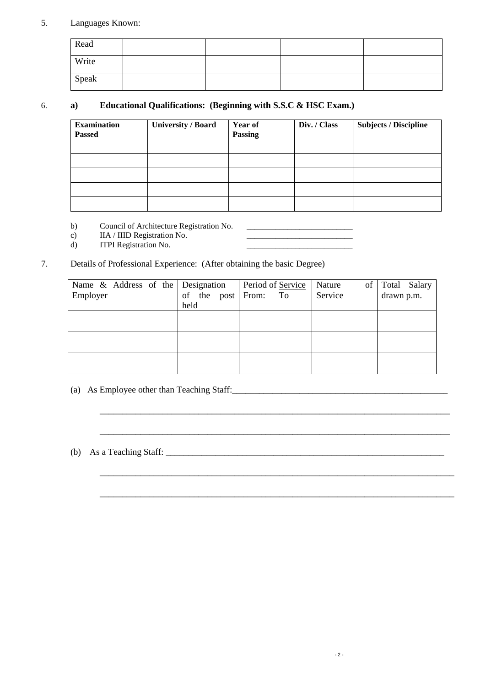### 5. Languages Known:

| Read  |  |  |
|-------|--|--|
| Write |  |  |
| Speak |  |  |

### 6. **a) Educational Qualifications: (Beginning with S.S.C & HSC Exam.)**

| <b>Examination</b><br><b>Passed</b> | <b>University / Board</b> | Year of<br><b>Passing</b> | Div. / Class | <b>Subjects / Discipline</b> |
|-------------------------------------|---------------------------|---------------------------|--------------|------------------------------|
|                                     |                           |                           |              |                              |
|                                     |                           |                           |              |                              |
|                                     |                           |                           |              |                              |
|                                     |                           |                           |              |                              |
|                                     |                           |                           |              |                              |

b) Council of Architecture Registration No.

c) IIA / IIID Registration No. \_\_\_\_\_\_\_\_\_\_\_\_\_\_\_\_\_\_\_\_\_\_\_\_\_\_

d) ITPI Registration No.

### 7. Details of Professional Experience: (After obtaining the basic Degree)

| Name & Address of the Designation<br>Employer | of the post<br>held | Period of Service<br>From:<br>To | Nature<br>of<br>Service | Total Salary<br>drawn p.m. |
|-----------------------------------------------|---------------------|----------------------------------|-------------------------|----------------------------|
|                                               |                     |                                  |                         |                            |
|                                               |                     |                                  |                         |                            |
|                                               |                     |                                  |                         |                            |

\_\_\_\_\_\_\_\_\_\_\_\_\_\_\_\_\_\_\_\_\_\_\_\_\_\_\_\_\_\_\_\_\_\_\_\_\_\_\_\_\_\_\_\_\_\_\_\_\_\_\_\_\_\_\_\_\_\_\_\_\_\_\_\_\_\_\_\_\_\_\_\_\_\_\_\_\_\_

\_\_\_\_\_\_\_\_\_\_\_\_\_\_\_\_\_\_\_\_\_\_\_\_\_\_\_\_\_\_\_\_\_\_\_\_\_\_\_\_\_\_\_\_\_\_\_\_\_\_\_\_\_\_\_\_\_\_\_\_\_\_\_\_\_\_\_\_\_\_\_\_\_\_\_\_\_\_\_

\_\_\_\_\_\_\_\_\_\_\_\_\_\_\_\_\_\_\_\_\_\_\_\_\_\_\_\_\_\_\_\_\_\_\_\_\_\_\_\_\_\_\_\_\_\_\_\_\_\_\_\_\_\_\_\_\_\_\_\_\_\_\_\_\_\_\_\_\_\_\_\_\_\_\_\_\_\_\_

\_\_\_\_\_\_\_\_\_\_\_\_\_\_\_\_\_\_\_\_\_\_\_\_\_\_\_\_\_\_\_\_\_\_\_\_\_\_\_\_\_\_\_\_\_\_\_\_\_\_\_\_\_\_\_\_\_\_\_\_\_\_\_\_\_\_\_\_\_\_\_\_\_\_\_\_\_\_

- (a) As Employee other than Teaching Staff:\_\_\_\_\_\_\_\_\_\_\_\_\_\_\_\_\_\_\_\_\_\_\_\_\_\_\_\_\_\_\_\_\_\_\_\_\_\_\_\_\_\_\_\_\_\_\_\_
- (b) As a Teaching Staff: \_\_\_\_\_\_\_\_\_\_\_\_\_\_\_\_\_\_\_\_\_\_\_\_\_\_\_\_\_\_\_\_\_\_\_\_\_\_\_\_\_\_\_\_\_\_\_\_\_\_\_\_\_\_\_\_\_\_\_\_\_\_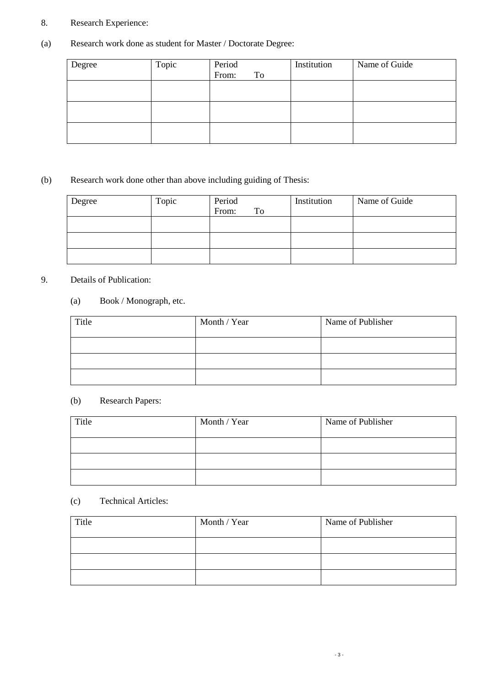## 8. Research Experience:

# (a) Research work done as student for Master / Doctorate Degree:

| Degree | Topic | Period<br>From: | To | Institution | Name of Guide |
|--------|-------|-----------------|----|-------------|---------------|
|        |       |                 |    |             |               |
|        |       |                 |    |             |               |
|        |       |                 |    |             |               |

# (b) Research work done other than above including guiding of Thesis:

| Degree | Topic | Period<br>From:<br>To | Institution | Name of Guide |
|--------|-------|-----------------------|-------------|---------------|
|        |       |                       |             |               |
|        |       |                       |             |               |
|        |       |                       |             |               |

### 9. Details of Publication:

## (a) Book / Monograph, etc.

| Title | Month / Year | Name of Publisher |
|-------|--------------|-------------------|
|       |              |                   |
|       |              |                   |
|       |              |                   |

# (b) Research Papers:

| Title | Month / Year | Name of Publisher |
|-------|--------------|-------------------|
|       |              |                   |
|       |              |                   |
|       |              |                   |

### (c) Technical Articles:

| Title | Month / Year | Name of Publisher |
|-------|--------------|-------------------|
|       |              |                   |
|       |              |                   |
|       |              |                   |